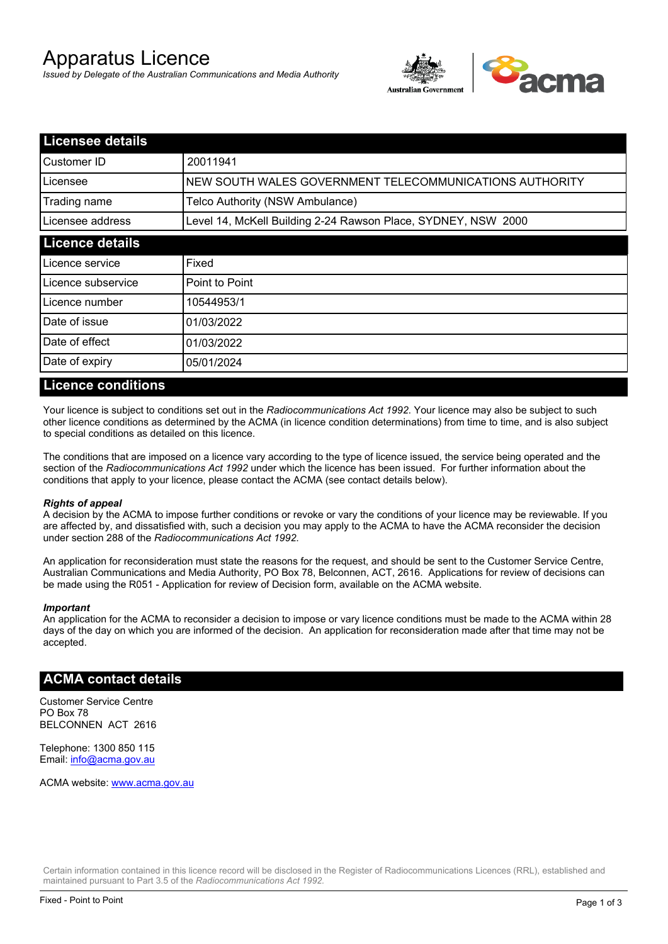# Apparatus Licence

*Issued by Delegate of the Australian Communications and Media Authority*



| <b>Licensee details</b> |                                                               |  |
|-------------------------|---------------------------------------------------------------|--|
| Customer ID             | 20011941                                                      |  |
| Licensee                | NEW SOUTH WALES GOVERNMENT TELECOMMUNICATIONS AUTHORITY       |  |
| Trading name            | Telco Authority (NSW Ambulance)                               |  |
| Licensee address        | Level 14, McKell Building 2-24 Rawson Place, SYDNEY, NSW 2000 |  |
| <b>Licence details</b>  |                                                               |  |
| Licence service         | Fixed                                                         |  |
| Licence subservice      | Point to Point                                                |  |
| Licence number          | 10544953/1                                                    |  |
| Date of issue           | 01/03/2022                                                    |  |
| Date of effect          | 01/03/2022                                                    |  |
| Date of expiry          | 05/01/2024                                                    |  |

#### **Licence conditions**

Your licence is subject to conditions set out in the *Radiocommunications Act 1992*. Your licence may also be subject to such other licence conditions as determined by the ACMA (in licence condition determinations) from time to time, and is also subject to special conditions as detailed on this licence.

The conditions that are imposed on a licence vary according to the type of licence issued, the service being operated and the section of the *Radiocommunications Act 1992* under which the licence has been issued. For further information about the conditions that apply to your licence, please contact the ACMA (see contact details below).

#### *Rights of appeal*

A decision by the ACMA to impose further conditions or revoke or vary the conditions of your licence may be reviewable. If you are affected by, and dissatisfied with, such a decision you may apply to the ACMA to have the ACMA reconsider the decision under section 288 of the *Radiocommunications Act 1992*.

An application for reconsideration must state the reasons for the request, and should be sent to the Customer Service Centre, Australian Communications and Media Authority, PO Box 78, Belconnen, ACT, 2616. Applications for review of decisions can be made using the R051 - Application for review of Decision form, available on the ACMA website.

#### *Important*

An application for the ACMA to reconsider a decision to impose or vary licence conditions must be made to the ACMA within 28 days of the day on which you are informed of the decision. An application for reconsideration made after that time may not be accepted.

#### **ACMA contact details**

Customer Service Centre PO Box 78 BELCONNEN ACT 2616

Telephone: 1300 850 115 Email: info@acma.gov.au

ACMA website: www.acma.gov.au

Certain information contained in this licence record will be disclosed in the Register of Radiocommunications Licences (RRL), established and maintained pursuant to Part 3.5 of the *Radiocommunications Act 1992.*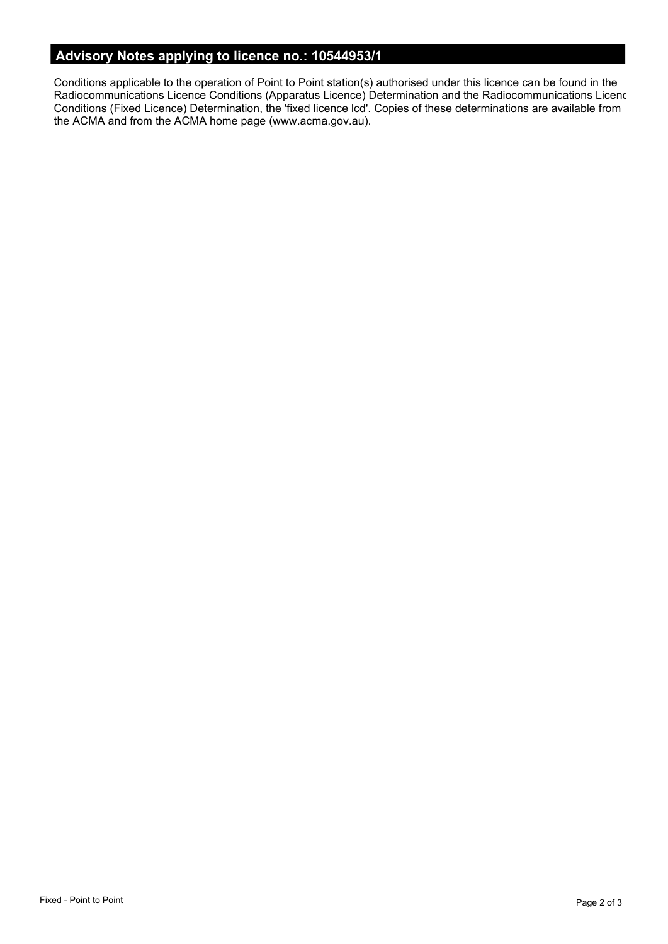# **Advisory Notes applying to licence no.: 10544953/1**

Conditions applicable to the operation of Point to Point station(s) authorised under this licence can be found in the Radiocommunications Licence Conditions (Apparatus Licence) Determination and the Radiocommunications Licence Conditions (Fixed Licence) Determination, the 'fixed licence lcd'. Copies of these determinations are available from the ACMA and from the ACMA home page (www.acma.gov.au).